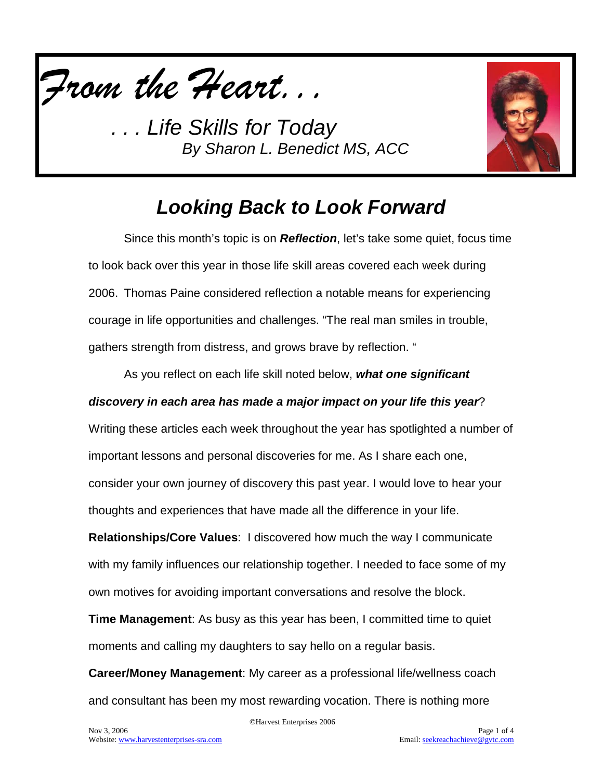

*. . . Life Skills for Today By Sharon L. Benedict MS, ACC*



# *Looking Back to Look Forward*

Since this month's topic is on *Reflection*, let's take some quiet, focus time to look back over this year in those life skill areas covered each week during 2006. Thomas Paine considered reflection a notable means for experiencing courage in life opportunities and challenges. "The real man smiles in trouble, gathers strength from distress, and grows brave by reflection. "

### *discovery in each area has made a major impact on your life this year*?

As you reflect on each life skill noted below, *what one significant* 

Writing these articles each week throughout the year has spotlighted a number of important lessons and personal discoveries for me. As I share each one, consider your own journey of discovery this past year. I would love to hear your thoughts and experiences that have made all the difference in your life.

**Relationships/Core Values**: I discovered how much the way I communicate with my family influences our relationship together. I needed to face some of my own motives for avoiding important conversations and resolve the block.

**Time Management**: As busy as this year has been, I committed time to quiet moments and calling my daughters to say hello on a regular basis.

**Career/Money Management**: My career as a professional life/wellness coach and consultant has been my most rewarding vocation. There is nothing more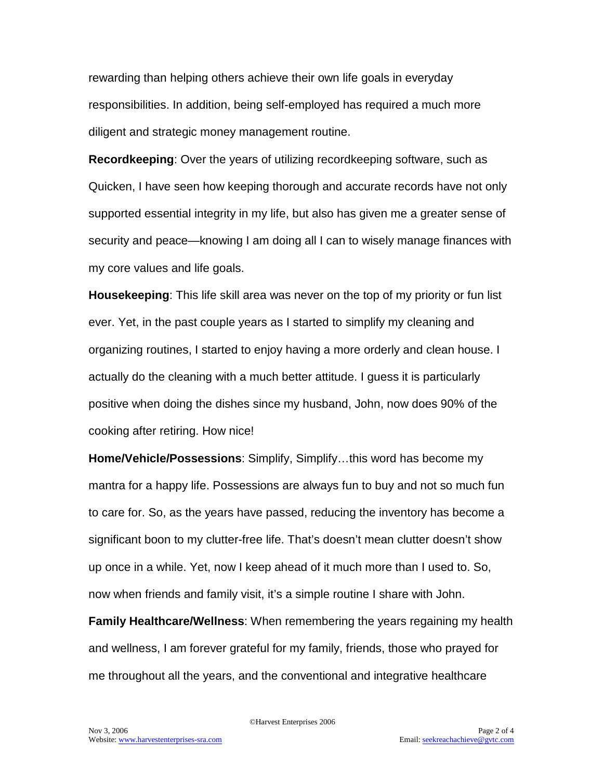rewarding than helping others achieve their own life goals in everyday responsibilities. In addition, being self-employed has required a much more diligent and strategic money management routine.

**Recordkeeping**: Over the years of utilizing recordkeeping software, such as Quicken, I have seen how keeping thorough and accurate records have not only supported essential integrity in my life, but also has given me a greater sense of security and peace—knowing I am doing all I can to wisely manage finances with my core values and life goals.

**Housekeeping**: This life skill area was never on the top of my priority or fun list ever. Yet, in the past couple years as I started to simplify my cleaning and organizing routines, I started to enjoy having a more orderly and clean house. I actually do the cleaning with a much better attitude. I guess it is particularly positive when doing the dishes since my husband, John, now does 90% of the cooking after retiring. How nice!

**Home/Vehicle/Possessions**: Simplify, Simplify…this word has become my mantra for a happy life. Possessions are always fun to buy and not so much fun to care for. So, as the years have passed, reducing the inventory has become a significant boon to my clutter-free life. That's doesn't mean clutter doesn't show up once in a while. Yet, now I keep ahead of it much more than I used to. So, now when friends and family visit, it's a simple routine I share with John.

**Family Healthcare/Wellness**: When remembering the years regaining my health and wellness, I am forever grateful for my family, friends, those who prayed for me throughout all the years, and the conventional and integrative healthcare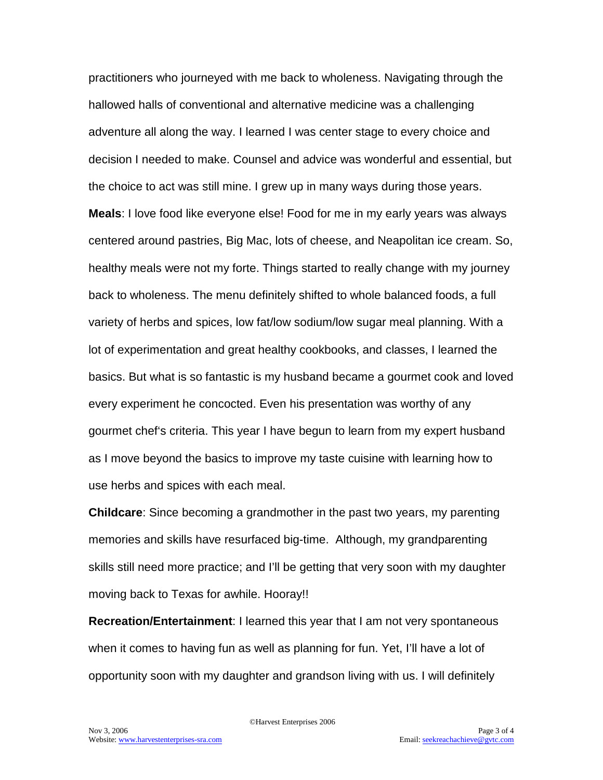practitioners who journeyed with me back to wholeness. Navigating through the hallowed halls of conventional and alternative medicine was a challenging adventure all along the way. I learned I was center stage to every choice and decision I needed to make. Counsel and advice was wonderful and essential, but the choice to act was still mine. I grew up in many ways during those years. **Meals**: I love food like everyone else! Food for me in my early years was always centered around pastries, Big Mac, lots of cheese, and Neapolitan ice cream. So, healthy meals were not my forte. Things started to really change with my journey back to wholeness. The menu definitely shifted to whole balanced foods, a full variety of herbs and spices, low fat/low sodium/low sugar meal planning. With a lot of experimentation and great healthy cookbooks, and classes, I learned the basics. But what is so fantastic is my husband became a gourmet cook and loved every experiment he concocted. Even his presentation was worthy of any gourmet chef's criteria. This year I have begun to learn from my expert husband as I move beyond the basics to improve my taste cuisine with learning how to use herbs and spices with each meal.

**Childcare**: Since becoming a grandmother in the past two years, my parenting memories and skills have resurfaced big-time. Although, my grandparenting skills still need more practice; and I'll be getting that very soon with my daughter moving back to Texas for awhile. Hooray!!

**Recreation/Entertainment**: I learned this year that I am not very spontaneous when it comes to having fun as well as planning for fun. Yet, I'll have a lot of opportunity soon with my daughter and grandson living with us. I will definitely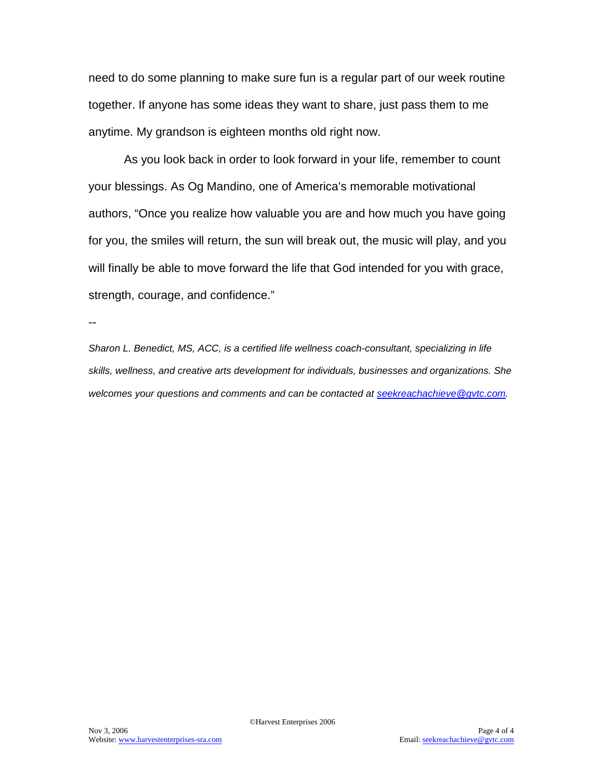need to do some planning to make sure fun is a regular part of our week routine together. If anyone has some ideas they want to share, just pass them to me anytime. My grandson is eighteen months old right now.

As you look back in order to look forward in your life, remember to count your blessings. As Og Mandino, one of America's memorable motivational authors, "Once you realize how valuable you are and how much you have going for you, the smiles will return, the sun will break out, the music will play, and you will finally be able to move forward the life that God intended for you with grace, strength, courage, and confidence."

--

*Sharon L. Benedict, MS, ACC, is a certified life wellness coach-consultant, specializing in life skills, wellness, and creative arts development for individuals, businesses and organizations. She welcomes your questions and comments and can be contacted at [seekreachachieve@gvtc.com.](mailto:seekreachachieve@gvtc.com)*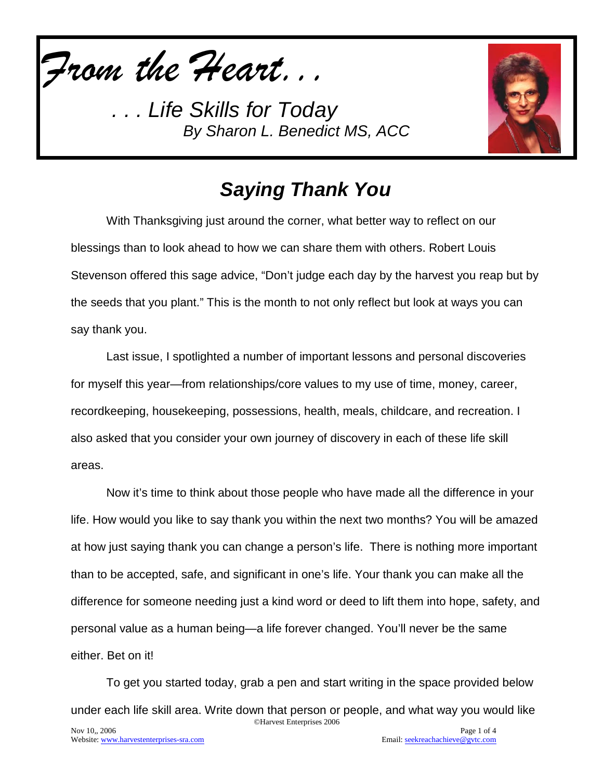*From the Heart...*

*. . . Life Skills for Today By Sharon L. Benedict MS, ACC*



# *Saying Thank You*

With Thanksgiving just around the corner, what better way to reflect on our blessings than to look ahead to how we can share them with others. Robert Louis Stevenson offered this sage advice, "Don't judge each day by the harvest you reap but by the seeds that you plant." This is the month to not only reflect but look at ways you can say thank you.

Last issue, I spotlighted a number of important lessons and personal discoveries for myself this year—from relationships/core values to my use of time, money, career, recordkeeping, housekeeping, possessions, health, meals, childcare, and recreation. I also asked that you consider your own journey of discovery in each of these life skill areas.

Now it's time to think about those people who have made all the difference in your life. How would you like to say thank you within the next two months? You will be amazed at how just saying thank you can change a person's life. There is nothing more important than to be accepted, safe, and significant in one's life. Your thank you can make all the difference for someone needing just a kind word or deed to lift them into hope, safety, and personal value as a human being—a life forever changed. You'll never be the same either. Bet on it!

©Harvest Enterprises 2006 To get you started today, grab a pen and start writing in the space provided below under each life skill area. Write down that person or people, and what way you would like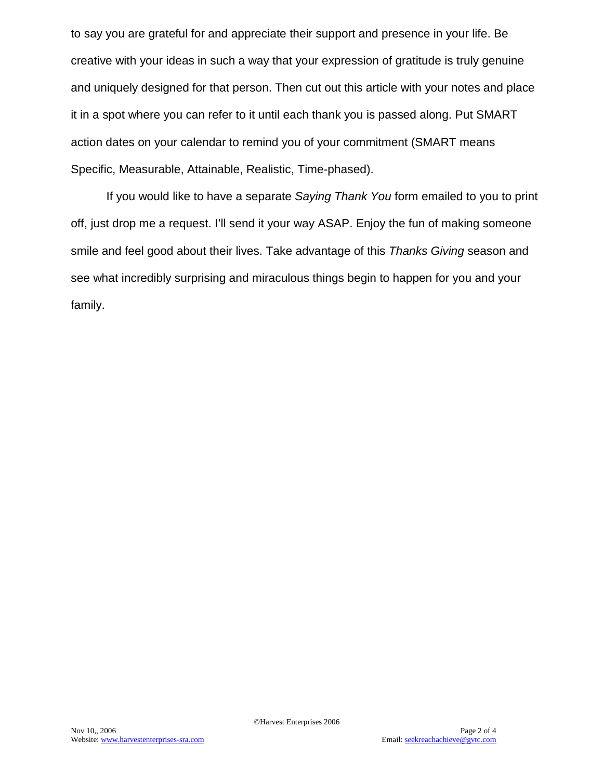to say you are grateful for and appreciate their support and presence in your life. Be creative with your ideas in such a way that your expression of gratitude is truly genuine and uniquely designed for that person. Then cut out this article with your notes and place it in a spot where you can refer to it until each thank you is passed along. Put SMART action dates on your calendar to remind you of your commitment (SMART means Specific, Measurable, Attainable, Realistic, Time-phased).

If you would like to have a separate *Saying Thank You* form emailed to you to print off, just drop me a request. I'll send it your way ASAP. Enjoy the fun of making someone smile and feel good about their lives. Take advantage of this *Thanks Giving* season and see what incredibly surprising and miraculous things begin to happen for you and your family.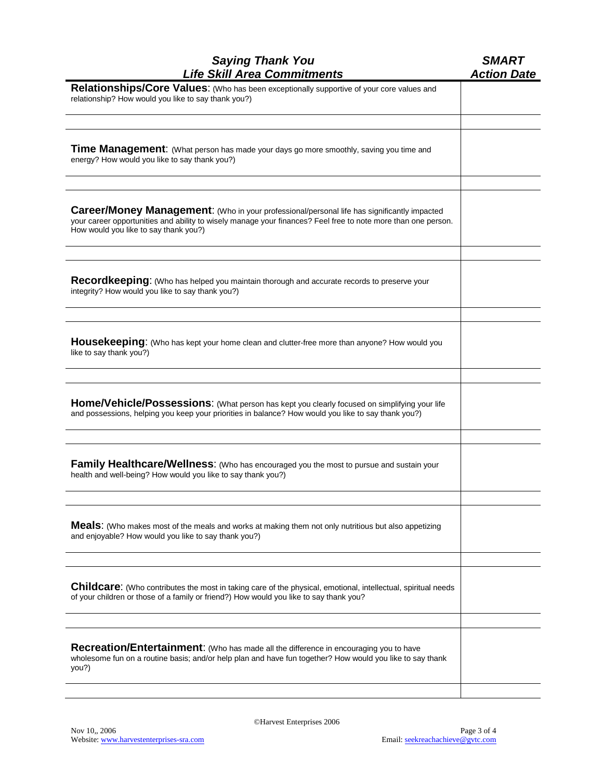| <b>Saying Thank You</b>                                                                                                                                                                                                                                      | <i><b>SMART</b></i> |
|--------------------------------------------------------------------------------------------------------------------------------------------------------------------------------------------------------------------------------------------------------------|---------------------|
| <b>Life Skill Area Commitments</b>                                                                                                                                                                                                                           | <b>Action Date</b>  |
| Relationships/Core Values: (Who has been exceptionally supportive of your core values and<br>relationship? How would you like to say thank you?)                                                                                                             |                     |
| Time Management: (What person has made your days go more smoothly, saving you time and<br>energy? How would you like to say thank you?)                                                                                                                      |                     |
| <b>Career/Money Management:</b> (Who in your professional/personal life has significantly impacted<br>your career opportunities and ability to wisely manage your finances? Feel free to note more than one person.<br>How would you like to say thank you?) |                     |
| Recordkeeping: (Who has helped you maintain thorough and accurate records to preserve your<br>integrity? How would you like to say thank you?)                                                                                                               |                     |
| Housekeeping: (Who has kept your home clean and clutter-free more than anyone? How would you<br>like to say thank you?)                                                                                                                                      |                     |
| <b>Home/Vehicle/Possessions:</b> (What person has kept you clearly focused on simplifying your life<br>and possessions, helping you keep your priorities in balance? How would you like to say thank you?)                                                   |                     |
| <b>Family Healthcare/Wellness:</b> (Who has encouraged you the most to pursue and sustain your<br>health and well-being? How would you like to say thank you?)                                                                                               |                     |
| Meals: (Who makes most of the meals and works at making them not only nutritious but also appetizing<br>and enjoyable? How would you like to say thank you?)                                                                                                 |                     |
| <b>Childcare:</b> (Who contributes the most in taking care of the physical, emotional, intellectual, spiritual needs<br>of your children or those of a family or friend?) How would you like to say thank you?                                               |                     |
| <b>Recreation/Entertainment:</b> (Who has made all the difference in encouraging you to have<br>wholesome fun on a routine basis; and/or help plan and have fun together? How would you like to say thank<br>you?)                                           |                     |
|                                                                                                                                                                                                                                                              |                     |

©Harvest Enterprises 2006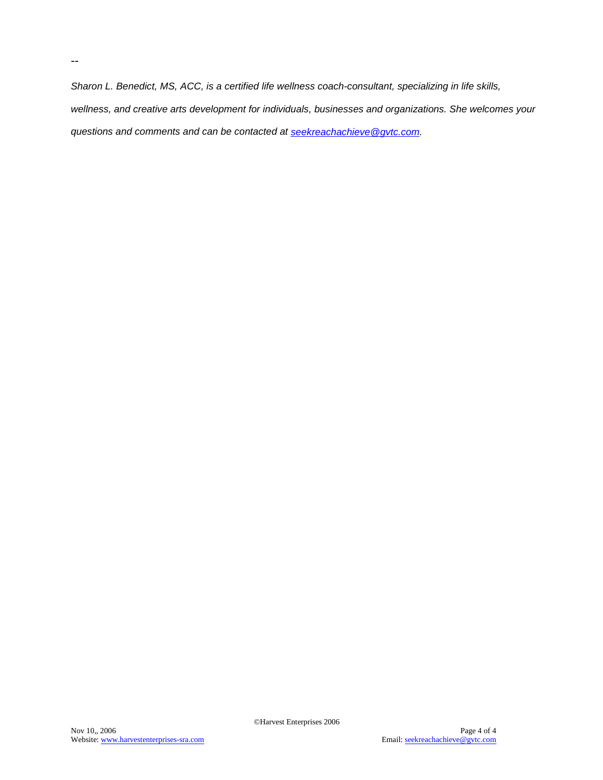*Sharon L. Benedict, MS, ACC, is a certified life wellness coach-consultant, specializing in life skills, wellness, and creative arts development for individuals, businesses and organizations. She welcomes your questions and comments and can be contacted at [seekreachachieve@gvtc.com.](mailto:seekreachachieve@gvtc.com)*

--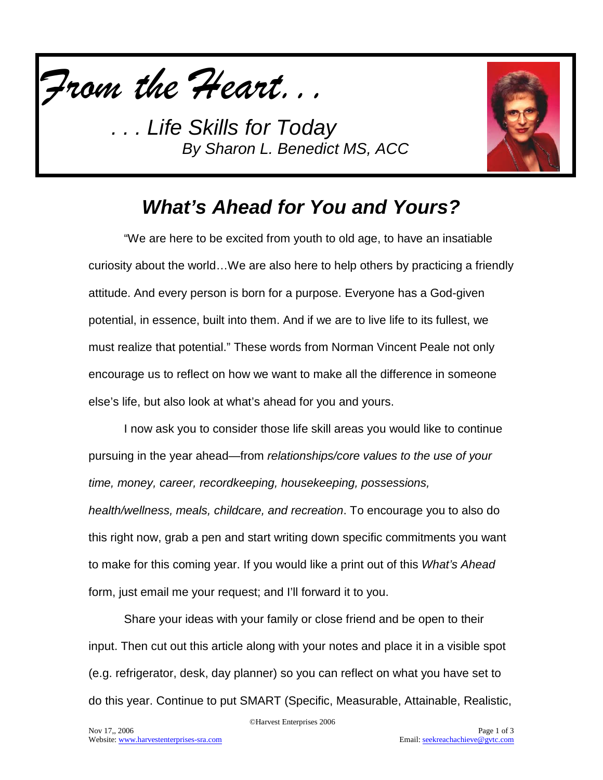

*. . . Life Skills for Today By Sharon L. Benedict MS, ACC*



## *What's Ahead for You and Yours?*

"We are here to be excited from youth to old age, to have an insatiable curiosity about the world…We are also here to help others by practicing a friendly attitude. And every person is born for a purpose. Everyone has a God-given potential, in essence, built into them. And if we are to live life to its fullest, we must realize that potential." These words from Norman Vincent Peale not only encourage us to reflect on how we want to make all the difference in someone else's life, but also look at what's ahead for you and yours.

I now ask you to consider those life skill areas you would like to continue pursuing in the year ahead—from *relationships/core values to the use of your time, money, career, recordkeeping, housekeeping, possessions, health/wellness, meals, childcare, and recreation*. To encourage you to also do this right now, grab a pen and start writing down specific commitments you want to make for this coming year. If you would like a print out of this *What's Ahead*  form, just email me your request; and I'll forward it to you.

Share your ideas with your family or close friend and be open to their input. Then cut out this article along with your notes and place it in a visible spot (e.g. refrigerator, desk, day planner) so you can reflect on what you have set to do this year. Continue to put SMART (Specific, Measurable, Attainable, Realistic,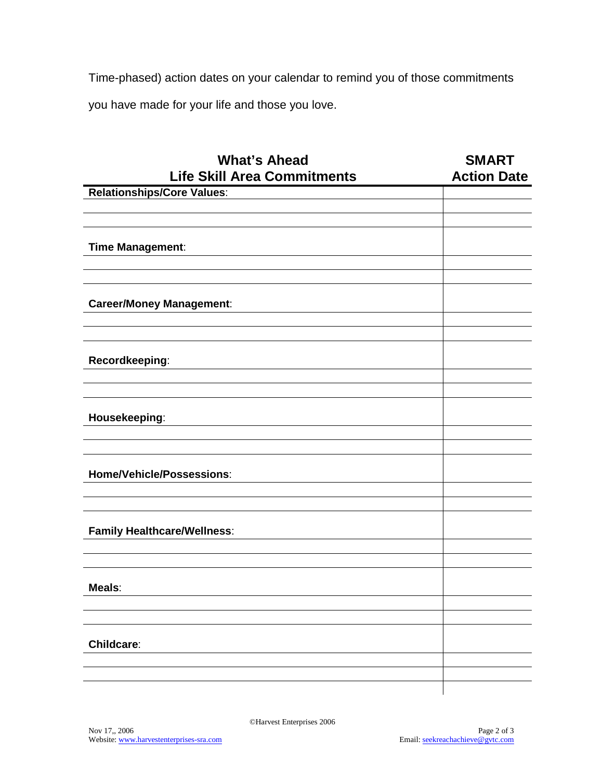Time-phased) action dates on your calendar to remind you of those commitments you have made for your life and those you love.

| <b>What's Ahead</b><br><b>Life Skill Area Commitments</b> | <b>SMART</b><br><b>Action Date</b> |
|-----------------------------------------------------------|------------------------------------|
| <b>Relationships/Core Values:</b>                         |                                    |
|                                                           |                                    |
|                                                           |                                    |
|                                                           |                                    |
| Time Management:                                          |                                    |
|                                                           |                                    |
|                                                           |                                    |
|                                                           |                                    |
| <b>Career/Money Management:</b>                           |                                    |
|                                                           |                                    |
|                                                           |                                    |
|                                                           |                                    |
| Recordkeeping:                                            |                                    |
|                                                           |                                    |
|                                                           |                                    |
|                                                           |                                    |
| Housekeeping:                                             |                                    |
|                                                           |                                    |
|                                                           |                                    |
|                                                           |                                    |
| Home/Vehicle/Possessions:                                 |                                    |
|                                                           |                                    |
|                                                           |                                    |
|                                                           |                                    |
| <b>Family Healthcare/Wellness:</b>                        |                                    |
|                                                           |                                    |
|                                                           |                                    |
|                                                           |                                    |
| Meals:                                                    |                                    |
|                                                           |                                    |
|                                                           |                                    |
|                                                           |                                    |
| Childcare:                                                |                                    |
|                                                           |                                    |
|                                                           |                                    |
|                                                           |                                    |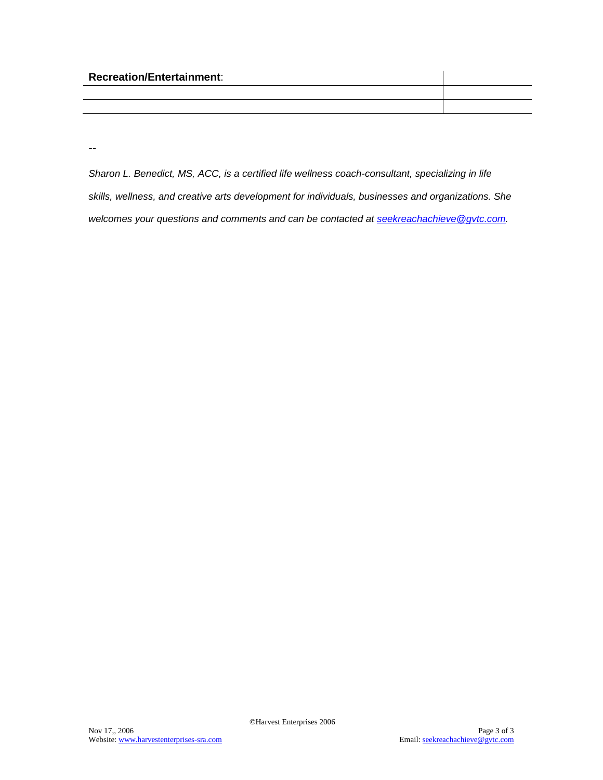--

*Sharon L. Benedict, MS, ACC, is a certified life wellness coach-consultant, specializing in life skills, wellness, and creative arts development for individuals, businesses and organizations. She welcomes your questions and comments and can be contacted at [seekreachachieve@gvtc.com.](mailto:seekreachachieve@gvtc.com)*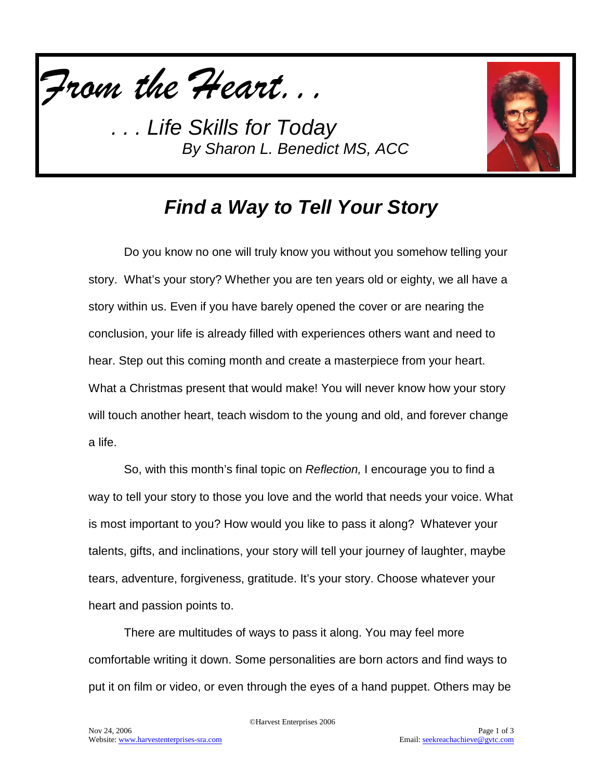

**Life Skills for Today** *By Sharon L. Benedict MS, ACC*



# *Find a Way to Tell Your Story*

Do you know no one will truly know you without you somehow telling your story. What's your story? Whether you are ten years old or eighty, we all have a story within us. Even if you have barely opened the cover or are nearing the conclusion, your life is already filled with experiences others want and need to hear. Step out this coming month and create a masterpiece from your heart. What a Christmas present that would make! You will never know how your story will touch another heart, teach wisdom to the young and old, and forever change a life.

So, with this month's final topic on *Reflection,* I encourage you to find a way to tell your story to those you love and the world that needs your voice. What is most important to you? How would you like to pass it along? Whatever your talents, gifts, and inclinations, your story will tell your journey of laughter, maybe tears, adventure, forgiveness, gratitude. It's your story. Choose whatever your heart and passion points to.

There are multitudes of ways to pass it along. You may feel more comfortable writing it down. Some personalities are born actors and find ways to put it on film or video, or even through the eyes of a hand puppet. Others may be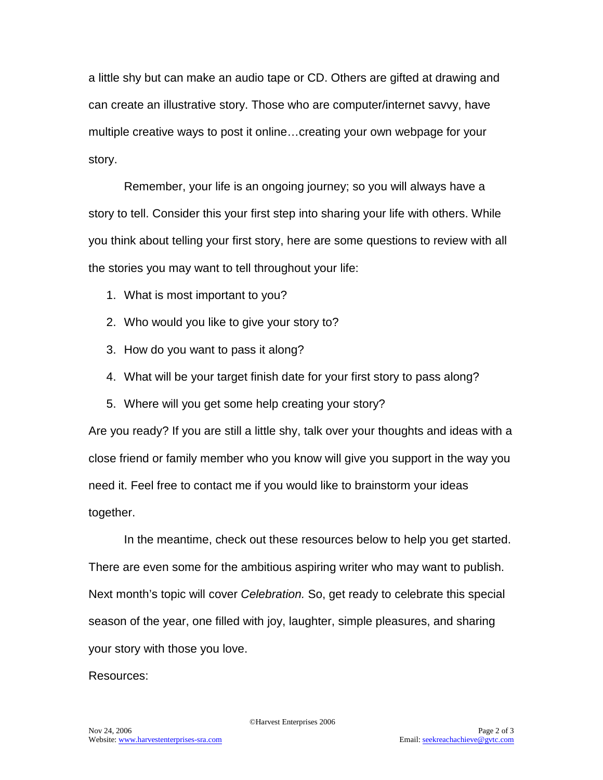a little shy but can make an audio tape or CD. Others are gifted at drawing and can create an illustrative story. Those who are computer/internet savvy, have multiple creative ways to post it online…creating your own webpage for your story.

Remember, your life is an ongoing journey; so you will always have a story to tell. Consider this your first step into sharing your life with others. While you think about telling your first story, here are some questions to review with all the stories you may want to tell throughout your life:

- 1. What is most important to you?
- 2. Who would you like to give your story to?
- 3. How do you want to pass it along?
- 4. What will be your target finish date for your first story to pass along?
- 5. Where will you get some help creating your story?

Are you ready? If you are still a little shy, talk over your thoughts and ideas with a close friend or family member who you know will give you support in the way you need it. Feel free to contact me if you would like to brainstorm your ideas together.

In the meantime, check out these resources below to help you get started. There are even some for the ambitious aspiring writer who may want to publish. Next month's topic will cover *Celebration.* So, get ready to celebrate this special season of the year, one filled with joy, laughter, simple pleasures, and sharing your story with those you love.

#### Resources: